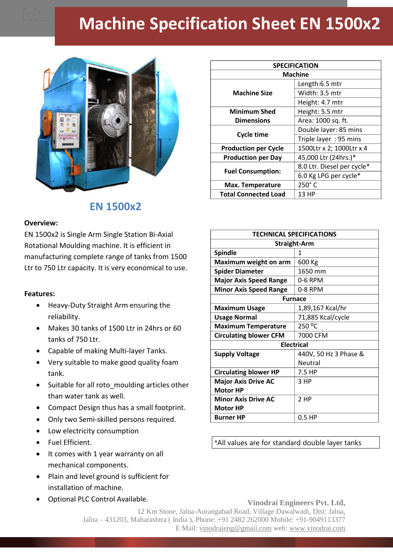## **Machine Specification Sheet EN 1500x2**



## **EN 1500x2**

## **Overview:**

EN 1500x2 is Single Arm Single Station Bi-Axial Rotational Moulding machine. It is efficient in manufacturing complete range of tanks from 1500 Ltr to 750 Ltr capacity. It is very economical to use.

## **Features:**

- Heavy-Duty Straight Arm ensuring the reliability.
- Makes 30 tanks of 1500 Ltr in 24hrs or 60 tanks of 750 Ltr.
- Capable of making Multi-layer Tanks.
- Very suitable to make good quality foam tank.
- Suitable for all roto moulding articles other than water tank as well.
- Compact Design thus has a small footprint.
- Only two Semi-skilled persons required.
- Low electricity consumption
- Fuel Efficient.
- It comes with 1 year warranty on all mechanical components.
- Plain and level ground is sufficient for installation of machine.
- Optional PLC Control Available.

| <b>SPECIFICATION</b>        |                            |
|-----------------------------|----------------------------|
| <b>Machine</b>              |                            |
| <b>Machine Size</b>         | Length:6.5 mtr             |
|                             | Width: 3.5 mtr             |
|                             | Height: 4.7 mtr            |
| <b>Minimum Shed</b>         | Height: 5.5 mtr            |
| <b>Dimensions</b>           | Area: 1000 sq. ft.         |
| <b>Cycle time</b>           | Double layer: 85 mins      |
|                             | Triple layer: 95 mins      |
| <b>Production per Cycle</b> | 1500Ltr x 2; 1000Ltr x 4   |
| <b>Production per Day</b>   | 45,000 Ltr (24hrs.)*       |
| <b>Fuel Consumption:</b>    | 8.0 Ltr. Diesel per cycle* |
|                             | 6.0 Kg LPG per cycle*      |
| <b>Max. Temperature</b>     | $250^\circ$ C              |
| <b>Total Connected Load</b> | 13 HP                      |

| <b>TECHNICAL SPECIFICATIONS</b> |                       |
|---------------------------------|-----------------------|
| <b>Straight-Arm</b>             |                       |
| <b>Spindle</b>                  | 1                     |
| Maximum weight on arm           | 600 Kg                |
| <b>Spider Diameter</b>          | 1650 mm               |
| <b>Major Axis Speed Range</b>   | 0-6 RPM               |
| <b>Minor Axis Speed Range</b>   | 0-8 RPM               |
| <b>Furnace</b>                  |                       |
| <b>Maximum Usage</b>            | 1,89,167 Kcal/hr      |
| <b>Usage Normal</b>             | 71,885 Kcal/cycle     |
| <b>Maximum Temperature</b>      | 250 °C                |
| <b>Circulating blower CFM</b>   | 7000 CFM              |
| <b>Electrical</b>               |                       |
| <b>Supply Voltage</b>           | 440V, 50 Hz 3 Phase & |
|                                 | Neutral               |
| <b>Circulating blower HP</b>    | 7.5 HP                |
| <b>Major Axis Drive AC</b>      | 3 HP                  |
| <b>Motor HP</b>                 |                       |
| <b>Minor Axis Drive AC</b>      | 2 HP                  |
| <b>Motor HP</b>                 |                       |
| <b>Burner HP</b>                | $0.5$ HP              |

\*All values are for standard double layer tanks

**Vinodrai Engineers Pvt. Ltd,** 12 Km Stone, Jalna-Aurangabad Road, Village Dawalwadi, Dist: Jalna, Jalna – 431203, Maharashtra ( India ), Phone: +91 2482 262000 Mobile: +91-9049113377 E Mail: vinodraieng@gmail.com web: www.vinodrai.com